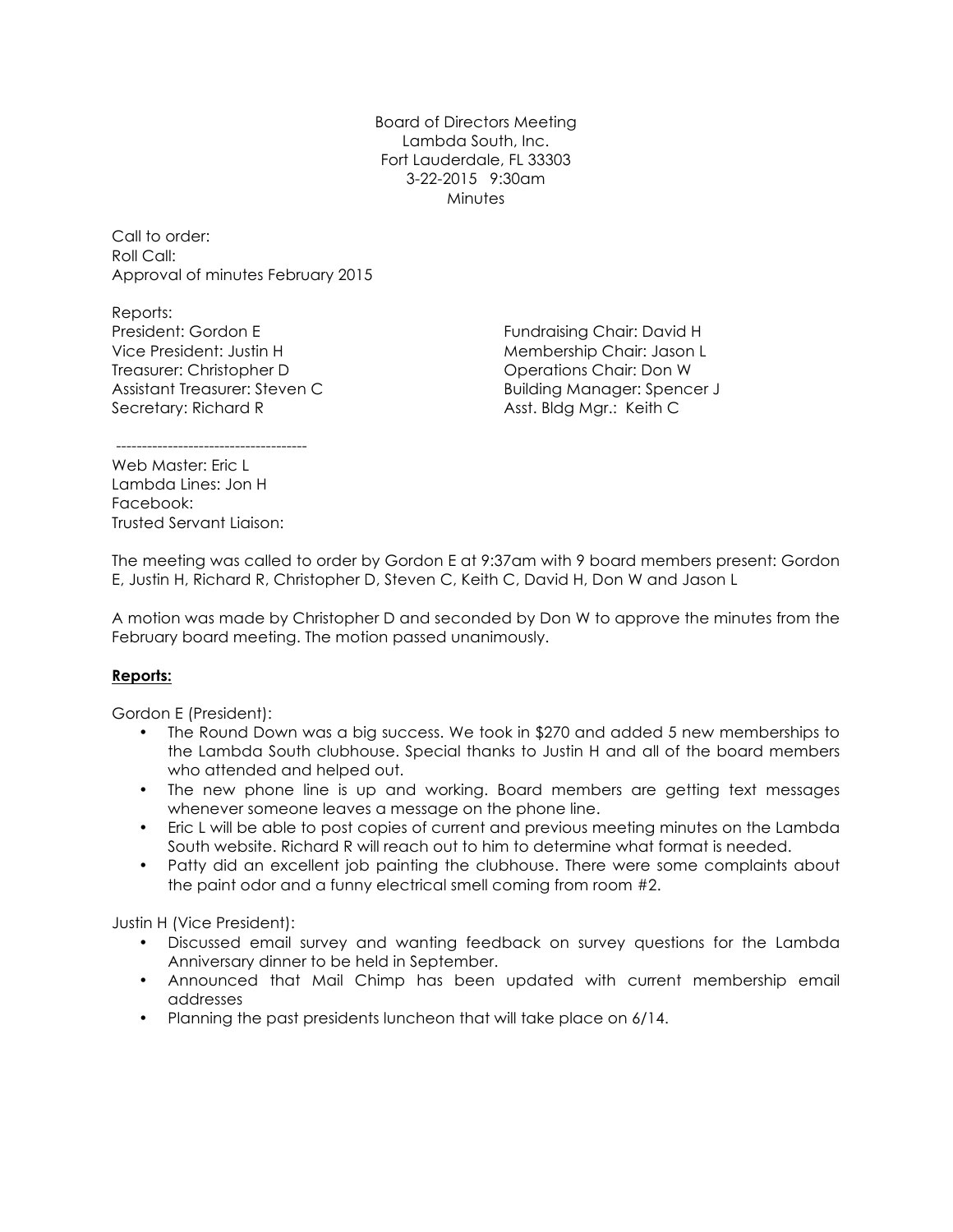Board of Directors Meeting Lambda South, Inc. Fort Lauderdale, FL 33303 3-22-2015 9:30am **Minutes** 

Call to order: Roll Call: Approval of minutes February 2015

Reports: President: Gordon E Vice President: Justin H Treasurer: Christopher D Assistant Treasurer: Steven C Secretary: Richard R

Fundraising Chair: David H Membership Chair: Jason L Operations Chair: Don W Building Manager: Spencer J Asst. Bldg Mgr.: Keith C

-------------------------------------

Web Master: Fric L Lambda Lines: Jon H Facebook: Trusted Servant Liaison:

The meeting was called to order by Gordon E at 9:37am with 9 board members present: Gordon E, Justin H, Richard R, Christopher D, Steven C, Keith C, David H, Don W and Jason L

A motion was made by Christopher D and seconded by Don W to approve the minutes from the February board meeting. The motion passed unanimously.

## **Reports:**

Gordon E (President):

- The Round Down was a big success. We took in \$270 and added 5 new memberships to the Lambda South clubhouse. Special thanks to Justin H and all of the board members who attended and helped out.
- The new phone line is up and working. Board members are getting text messages whenever someone leaves a message on the phone line.
- Eric L will be able to post copies of current and previous meeting minutes on the Lambda South website. Richard R will reach out to him to determine what format is needed.
- Patty did an excellent job painting the clubhouse. There were some complaints about the paint odor and a funny electrical smell coming from room #2.

Justin H (Vice President):

- Discussed email survey and wanting feedback on survey questions for the Lambda Anniversary dinner to be held in September.
- Announced that Mail Chimp has been updated with current membership email addresses
- Planning the past presidents luncheon that will take place on 6/14.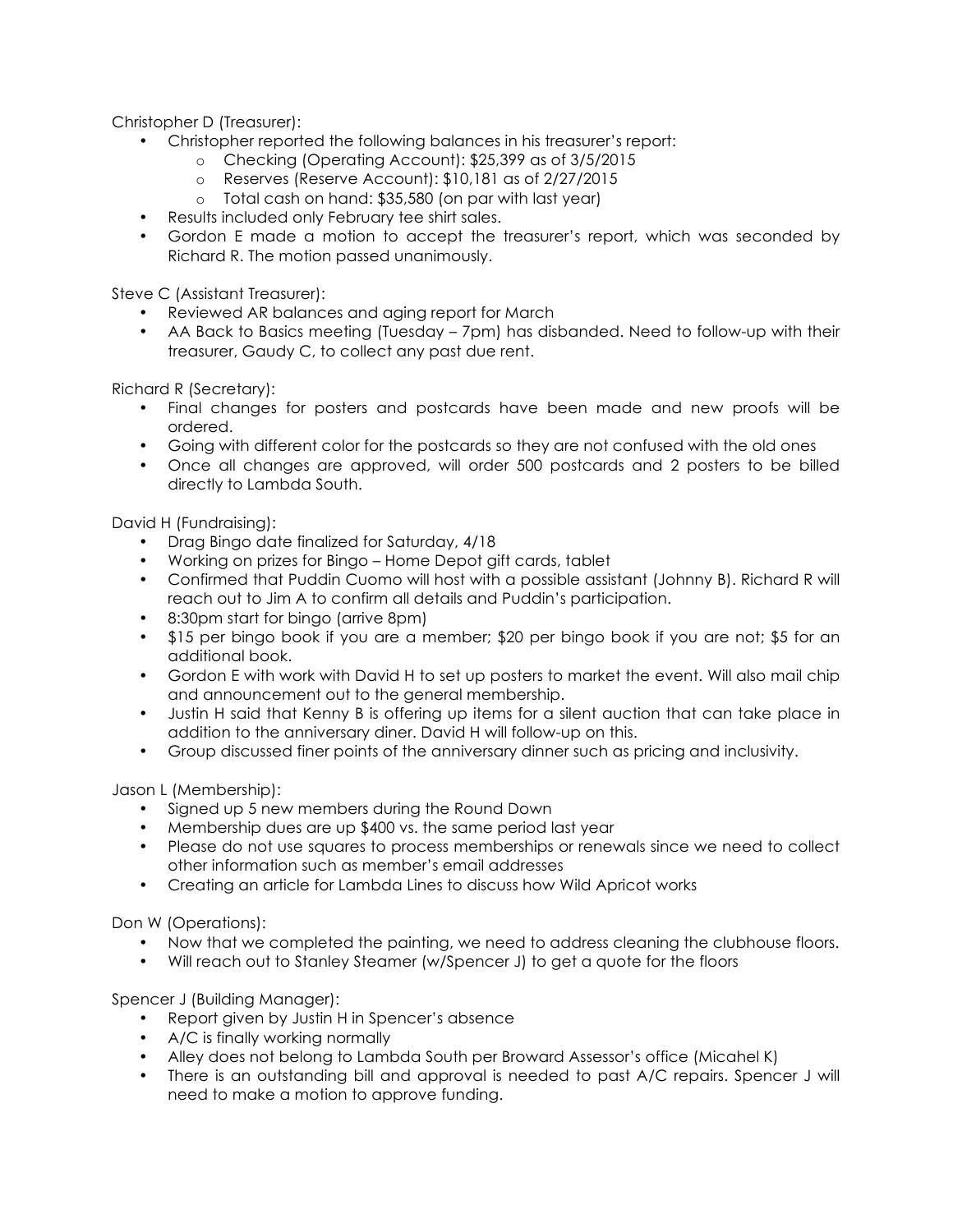Christopher D (Treasurer):

- Christopher reported the following balances in his treasurer's report:
	- o Checking (Operating Account): \$25,399 as of 3/5/2015
	- o Reserves (Reserve Account): \$10,181 as of 2/27/2015
	- o Total cash on hand: \$35,580 (on par with last year)
- Results included only February tee shirt sales.
- Gordon E made a motion to accept the treasurer's report, which was seconded by Richard R. The motion passed unanimously.

Steve C (Assistant Treasurer):

- Reviewed AR balances and aging report for March
- AA Back to Basics meeting (Tuesday 7pm) has disbanded. Need to follow-up with their treasurer, Gaudy C, to collect any past due rent.

Richard R (Secretary):

- Final changes for posters and postcards have been made and new proofs will be ordered.
- Going with different color for the postcards so they are not confused with the old ones
- Once all changes are approved, will order 500 postcards and 2 posters to be billed directly to Lambda South.

David H (Fundraising):

- Drag Bingo date finalized for Saturday, 4/18
- Working on prizes for Bingo Home Depot gift cards, tablet
- Confirmed that Puddin Cuomo will host with a possible assistant (Johnny B). Richard R will reach out to Jim A to confirm all details and Puddin's participation.
- 8:30pm start for bingo (arrive 8pm)
- \$15 per bingo book if you are a member; \$20 per bingo book if you are not; \$5 for an additional book.
- Gordon E with work with David H to set up posters to market the event. Will also mail chip and announcement out to the general membership.
- Justin H said that Kenny B is offering up items for a silent auction that can take place in addition to the anniversary diner. David H will follow-up on this.
- Group discussed finer points of the anniversary dinner such as pricing and inclusivity.

Jason L (Membership):

- Signed up 5 new members during the Round Down
- Membership dues are up \$400 vs. the same period last year
- Please do not use squares to process memberships or renewals since we need to collect other information such as member's email addresses
- Creating an article for Lambda Lines to discuss how Wild Apricot works

Don W (Operations):

- Now that we completed the painting, we need to address cleaning the clubhouse floors.
- Will reach out to Stanley Steamer (w/Spencer J) to get a quote for the floors

Spencer J (Building Manager):

- Report given by Justin H in Spencer's absence
- A/C is finally working normally
- Alley does not belong to Lambda South per Broward Assessor's office (Micahel K)
- There is an outstanding bill and approval is needed to past A/C repairs. Spencer J will need to make a motion to approve funding.